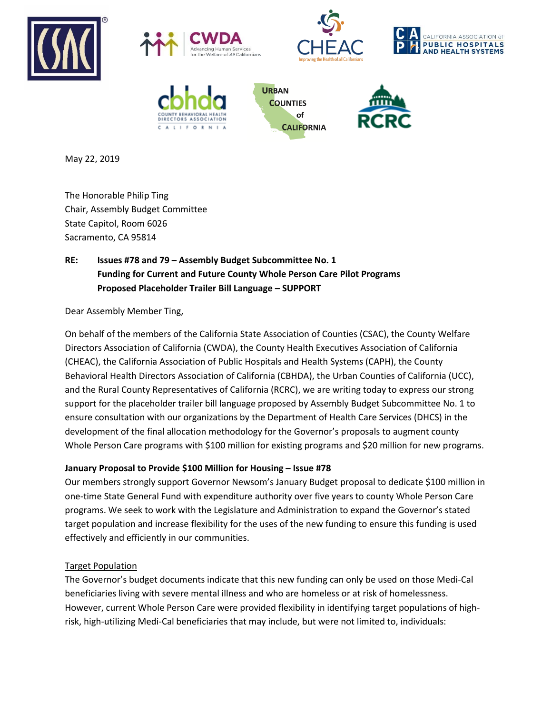









**URBAN COUNTIES** of **CALIFORNIA** 



May 22, 2019

The Honorable Philip Ting Chair, Assembly Budget Committee State Capitol, Room 6026 Sacramento, CA 95814

# **RE: Issues #78 and 79 – Assembly Budget Subcommittee No. 1 Funding for Current and Future County Whole Person Care Pilot Programs Proposed Placeholder Trailer Bill Language – SUPPORT**

Dear Assembly Member Ting,

On behalf of the members of the California State Association of Counties (CSAC), the County Welfare Directors Association of California (CWDA), the County Health Executives Association of California (CHEAC), the California Association of Public Hospitals and Health Systems (CAPH), the County Behavioral Health Directors Association of California (CBHDA), the Urban Counties of California (UCC), and the Rural County Representatives of California (RCRC), we are writing today to express our strong support for the placeholder trailer bill language proposed by Assembly Budget Subcommittee No. 1 to ensure consultation with our organizations by the Department of Health Care Services (DHCS) in the development of the final allocation methodology for the Governor's proposals to augment county Whole Person Care programs with \$100 million for existing programs and \$20 million for new programs.

# **January Proposal to Provide \$100 Million for Housing – Issue #78**

Our members strongly support Governor Newsom's January Budget proposal to dedicate \$100 million in one-time State General Fund with expenditure authority over five years to county Whole Person Care programs. We seek to work with the Legislature and Administration to expand the Governor's stated target population and increase flexibility for the uses of the new funding to ensure this funding is used effectively and efficiently in our communities.

## Target Population

The Governor's budget documents indicate that this new funding can only be used on those Medi-Cal beneficiaries living with severe mental illness and who are homeless or at risk of homelessness. However, current Whole Person Care were provided flexibility in identifying target populations of highrisk, high-utilizing Medi-Cal beneficiaries that may include, but were not limited to, individuals: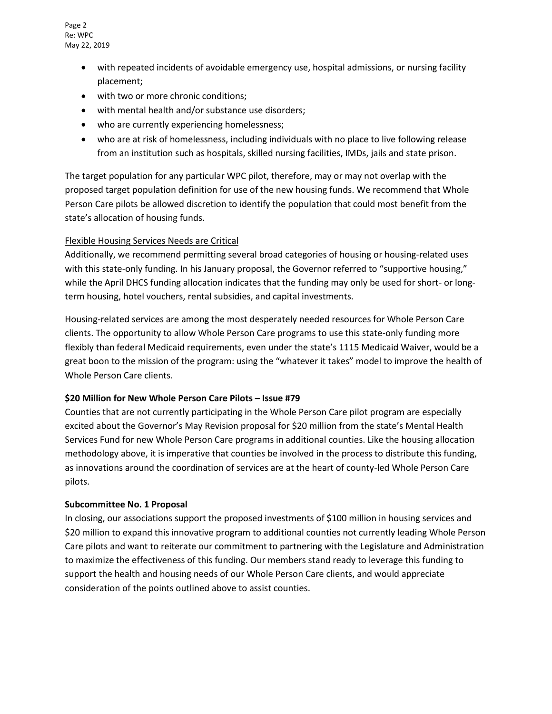Page 2 Re: WPC May 22, 2019

- with repeated incidents of avoidable emergency use, hospital admissions, or nursing facility placement;
- with two or more chronic conditions;
- with mental health and/or substance use disorders;
- who are currently experiencing homelessness;
- who are at risk of homelessness, including individuals with no place to live following release from an institution such as hospitals, skilled nursing facilities, IMDs, jails and state prison.

The target population for any particular WPC pilot, therefore, may or may not overlap with the proposed target population definition for use of the new housing funds. We recommend that Whole Person Care pilots be allowed discretion to identify the population that could most benefit from the state's allocation of housing funds.

### Flexible Housing Services Needs are Critical

Additionally, we recommend permitting several broad categories of housing or housing-related uses with this state-only funding. In his January proposal, the Governor referred to "supportive housing," while the April DHCS funding allocation indicates that the funding may only be used for short- or longterm housing, hotel vouchers, rental subsidies, and capital investments.

Housing-related services are among the most desperately needed resources for Whole Person Care clients. The opportunity to allow Whole Person Care programs to use this state-only funding more flexibly than federal Medicaid requirements, even under the state's 1115 Medicaid Waiver, would be a great boon to the mission of the program: using the "whatever it takes" model to improve the health of Whole Person Care clients.

#### **\$20 Million for New Whole Person Care Pilots – Issue #79**

Counties that are not currently participating in the Whole Person Care pilot program are especially excited about the Governor's May Revision proposal for \$20 million from the state's Mental Health Services Fund for new Whole Person Care programs in additional counties. Like the housing allocation methodology above, it is imperative that counties be involved in the process to distribute this funding, as innovations around the coordination of services are at the heart of county-led Whole Person Care pilots.

#### **Subcommittee No. 1 Proposal**

In closing, our associations support the proposed investments of \$100 million in housing services and \$20 million to expand this innovative program to additional counties not currently leading Whole Person Care pilots and want to reiterate our commitment to partnering with the Legislature and Administration to maximize the effectiveness of this funding. Our members stand ready to leverage this funding to support the health and housing needs of our Whole Person Care clients, and would appreciate consideration of the points outlined above to assist counties.